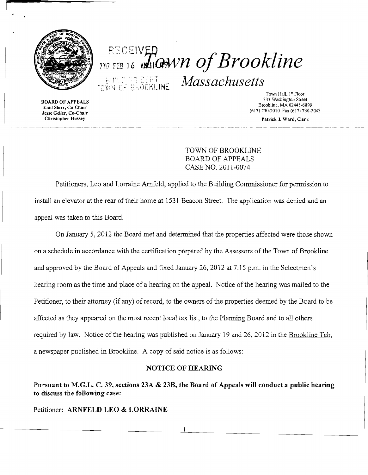

## **REGEIVED**<br>2012 FEB 16 MAIOPAVN Of Brookline EVER OF BROOKLINE Massachusetts

Town Hall, 1<sup>st</sup> Floor<br>333 Washington Street 333 Washington Street 333 Washington Street<br>Enid Starr, Co-Chair Brookline, MA 02445-6899<br>(13) Shookline, MA 02445-6899 Enid Starr, Co-Chair

Enid Starr, Co-Chair<br>
Jesse Geller, Co-Chair<br>
Christopher Hussey<br>
Christopher Hussey<br>
Patrick J. Ward. Clerk<br>
Patrick J. Ward. Clerk

Patrick J. Ward, Clerk

TOWN OF BROOKLINE BOARD OF APPEALS CASE NO. 2011-0074

Petitioners, Leo and Lorraine Arnfeld, applied to the Building Commissioner for pennission to install an elevator at the rear of their home at 1531 Beacon Street. The application was denied and an appeal was taken to this Board.

On January 5, 2012 the Board met and determined that the properties affected were those shown on a schedule in accordance with the certification prepared by the Assessors of the Town of Brookline and approved by the Board of Appeals and fixed January 26, 2012 at 7:15 p.m. in the Selectmen's hearing room as the time and place of a hearing on the appeal. Notice of the hearing was mailed to the Petitioner, to their attorney (if any) of record, to the owners of the properties deemed by the Board to be affected as they appeared on the most recent local tax list, to the Planning Board and to all others required by law. Notice of the hearing was published on January 19 and 26, 2012 in the Brookline Tab, a newspaper published in Brookline. A copy of said notice is as follows:

## NOTICE OF HEARING

Pursuant to M.G.L. C. 39, sections 23A & 23B, the Board of Appeals will conduct a public hearing to discuss the following case:

Petitioner: ARNFELD LEO & LORRAINE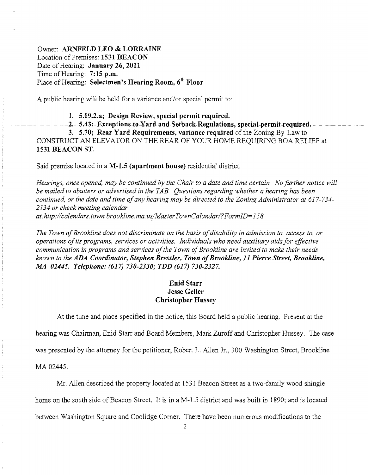Owner: **ARNFELD LEO & LORRAINE** Location of Premises: **1531 BEACON** Date of Hearing: **January 26, 2011** Time of Hearing: **7: 15 p.m.** Place of Hearing: **Selectmen's Hearing Room, 6th Floor** 

A public hearing will be held for a variance and/or special permit to:

**1. 5.09.2.a; Design Review, special permit required.** 

 $-2.$  5.43; Exceptions to Yard and Setback Regulations, special-permit required.  $-$ 

**3. 5.70; Rear Yard Requirements, variance required** of the Zoning By-Law to CONSTRUCT AN ELEVATOR ON THE REAR OF YOUR HOME REQUIRING BOA RELIEF at **1531 BEACON ST.** 

Said premise located in a **M-1.5 (apartment house)** residential district.

*Hearings, once opened, may be continued by the Chair to a date and time certain. Nofurther notice will be mailed to abutters or advertised in the TAB. Questions regarding whether a hearing has been continued, or the date and time ofany hearing may be directed to the Zoning Administrator at 617-734 2134 or check meeting calendar*  at:http://calendars.town.brookline.ma.us/MasterTownCalandar/?FormID=158.

The Town of Brookline does not discriminate on the basis of disability in admission to, access to, or *operations ofits programs, services or activities. Individuals who need auxiliary aids for effective*  communication in programs and services of the Town of Brookline are invited to make their needs *known to the ADA Coordinator, Stephen Bressler, Town ofBrookline,* **11** *Pierce Street, Brookline, M4 02445. Telephone:* **(617)** *730-2330; TDD* **(617)** *730-2327.* 

## **Enid Starr Jesse Geller Christopher Hussey**

At the time and place specified in the notice, this Board held a public hearing. Present at the hearing was Chairman, Enid Starr and Board Members, Mark Zuroff and Christopher Hussey. The case was presented by the attorney for the petitioner, Robert L. Allen Jr., 300 Washington Street, Brookline

MA02445.

Mr. Allen described the property located at 1531 Beacon Street as a two-family wood shingle home on the south side of Beacon Street. It is in a M-1.5 district and was built in 1890; and is located between Washington Square and Coolidge Comer. There have been nwnerous modifications to the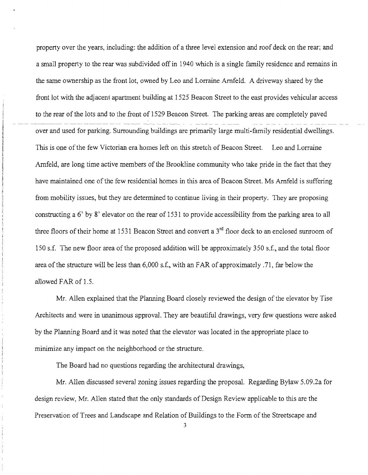property over the years, including: the addition of a three level extension and roof deck on the rear; and a small property to the rear was subdivided off in 1940 which is a single family residence and remains in the same ownership as the front lot, owned by Leo and Lorraine Amfeld. A driveway shared by the front lot with the adjacent apartment building at 1525 Beacon Street to the east provides vehicular access to the rear of the lots and to the front of 1529 Beacon Street. The parking areas are completely paved over and used for parking. Surrounding buildings are primarily large multi-family residential dwellings. This is one of the few Victorian era homes left on this stretch of Beacon Street. Leo and Lorraine Arnfeld, are long time active members of the Brookline community who take pride in the fact that they have maintained one of the few residential homes in this area of Beacon Street. Ms Amfeld is suffering from mobility issues, but they are determined to continue living in their property. They are proposing constructing a 6' by 8' elevator on the rear of 1531 to provide accessibility from the parking area to all three floors of their home at 1531 Beacon Street and convert a  $3<sup>rd</sup>$  floor deck to an enclosed sunroom of 150 s.f. The new floor area of the proposed addition will be approximately 350 s.f., and the total floor area ofthe structure will be less than 6,000 s.f., with an FAR of approximately .71, far below the allowed FAR of 1.5.

Mr. Allen explained that the Planning Board closely reviewed the design of the elevator by Tise Architects and were in unanimous approval. They are beautiful drawings, very few questions were asked by the Planning Board and it was noted that the elevator was located in the appropriate place to minimize any impact on the neighborhood or the structure.

The Board had no questions regarding the architectural drawings,

Mr. Allen discussed several zoning issues regarding the proposal. Regarding Bylaw 5.09.2a for design review, Mr. Allen stated that the only standards of Design Review applicable to this are the Preservation of Trees and Landscape and Relation of Buildings to the Form of the Streetscape and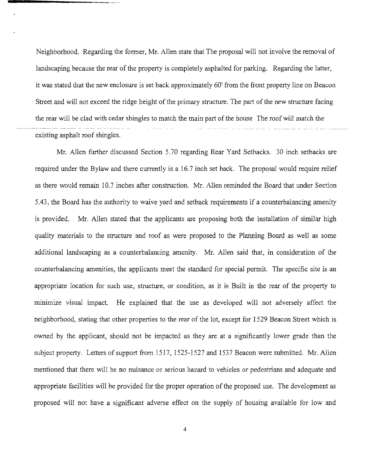Neighborhood. Regarding the former, Mr. Allen state that The proposal will not involve the removal of landscaping because the rear of the property is completely asphalted for parking. Regarding the latter, it was stated that the new enclosure is set back approximately 60' from the front property line on Beacon Street and will not exceed the ridge height of the primary structure. The part of the new structure facing the rear will be clad with cedar shingles to match the main part of the house The roof will match the existing asphalt roof shingles.

Mr. Allen further discussed Section 5.70 regarding Rear Yard Setbacks. 30 inch setbacks are required under the Bylaw and there currently is a 16.7 inch set back. The proposal would require relief as there would remain 10.7 inches after construction. Mr. Allen reminded the Board that under Section 5.43, the Board has the authority to waive yard and setback requirements if a counterbalancing amenity is provided. Mr. Allen stated that the applicants are proposing both the installation of similar high quality materials to the structure and roof as were proposed to the Planning Board as well as some additional landscaping as a counterbalancing amenity. Mr. Allen said that, in consideration of the counterbalancing amenities, the applicants meet the standard for special permit. The specific site is an appropriate location for such use, structure, or condition, as it is Built in the rear of the property to minimize visual impact. He explained that the use as developed will not adversely affect the neighborhood, stating that other properties to the rear of the lot, except for 1529 Beacon Street which is owned by the applicant, should not be impacted as they are at a significantly lower grade than the subject property. Letters of support from 1517, 1525-1527 and 1537 Beacon were submitted. Mr. Allen mentioned that there will be no nuisance or serious hazard to vehicles or pedestrians and adequate and appropriate facilities will be provided for the proper operation of the proposed use. The development as proposed will not have a significant adverse effect on the supply of housing available for low and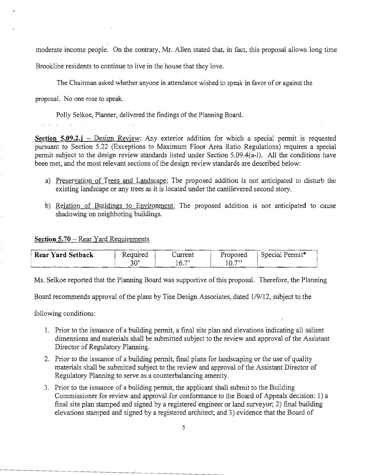moderate income people. On the contrary, Mr. Allen stated that, in fact, this proposal allows long time

Brookline residents to continue to live in the house that they love.

The Chainnan asked whether anyone in attendance wished to speak in favor of or against the

proposal. No one rose to speak.

Polly Selkoe, Planner, delivered the findings of the Planning Board.

**Section 5.09.2.j** – Design Review: Any exterior addition for which a special permit is requested pursuant to Section 5.22 (Exceptions to Maximum Floor Area Ratio Regulations) requires a special pennit subject to the design review standards listed under Section 5.09.4(a-I). All the conditions have been met, and the most relevant sections of the design review standards are described below:

- a) Preservation of Trees and Landscape: The proposed addition is not anticipated to disturb the existing landscape or any trees as it is located under the cantilevered second story.
- b) Relation of Buildings to Environment: The proposed addition is not anticipated to cause shadowing on neighboring buildings.

## **Section 5.70** - Rear Yard Requirements

| <b>Rear Yard Setback</b> | Required | ∠urrent      | Proposed          | Special Permit* |
|--------------------------|----------|--------------|-------------------|-----------------|
|                          | 30'      | $ -$<br>' O. | $\sim$ 722<br>IU. |                 |

Ms. Selkoe reported that the Planning Board was supportive of this proposal. Therefore, the Planning

Board recommends approval of the plans by Tise Design Associates, dated 1/9/12, subject to the

following conditions:

- 1. Prior to the issuance of a building permit, a final site plan and elevations indicating all salient dimensions and materials shall be submitted subject to the review and approval of the Assistant Director of Regulatory Planning.
- 2. Prior to the issuance of a building permit, final plans for landscaping or the use of quality materials shall be submitted subject to the review and approval of the Assistant Director of Regulatory Planning to serve as a counterbalancing amenity.
- 3. Prior to the issuance of a building permit, the applicant shall submit to the Building Commissioner for review and approval for conformance to the Board of Appeals decision: 1) a final site plan stamped and signed by a registered engineer or land surveyor; 2) final building elevations stamped and signed by a registered architect; and 3) evidence that the Board of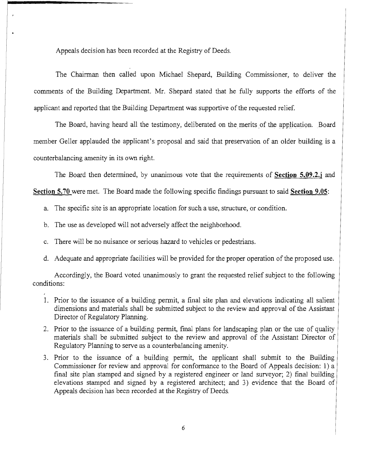Appeals decision has been recorded at the Registry of Deeds.

The Chairman then called upon Michael Shepard, Building Commissioner, to deliver the comments of the Building Department. Mr. Shepard stated that he fully supports the efforts of the applicant and reported that the Building Department was supportive of the requested relief.

The Board, having heard all the testimony, deliberated on the merits of the application. Board member Geller applauded the applicant's proposal and said that preservation of an older building is a counterbalancing amenity in its own right.

The Board then determined, by unanimous vote that the requirements of **Section 5.09.2.j and** 

**Section 5.70** were met. The Board made the following specific findings pursuant to said **Section 9.05:** 

- a. The specific site is an appropriate location for such a use, structure, or condition.
- b. The use as developed will not adversely affect the neighborhood.
- c. There will be no nuisance or serious hazard to vehicles or pedestrians.
- d. Adequate and appropriate facilities will be provided for the proper operation of the proposed use.

Accordingly, the Board voted unanimously to grant the requested relief subject to the following conditions:

- 1. Prior to the issuance of a building permit, a final site plan and elevations indicating all salient dimensions and materials shall be submitted subject to the review and approval of the Assistant Director of Regulatory Planning.
- 2. Prior to the issuance of a building permit, final plans for landscaping plan or the use of quality materials shall be submitted subject to the review and approval of the Assistant Director of Regulatory Planning to serve as a counterbalancing amenity.
- 3. Prior to the issuance of a building permit, the applicant shall submit to the Building Commissioner for review and approval for conformance to the Board of Appeals decision: 1) a final site plan stamped and signed by a registered engineer or land surveyor; 2) final building elevations stamped and signed by a registered architect; and 3) evidence that the Board of Appeals decision has been recorded at the Registry of Deeds.